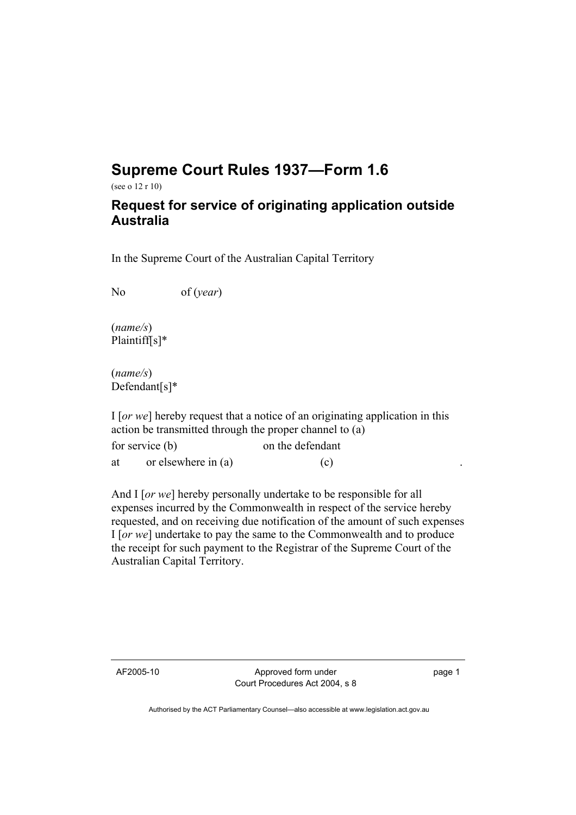## **Supreme Court Rules 1937—Form 1.6**

(see o 12 r 10)

## **Request for service of originating application outside Australia**

In the Supreme Court of the Australian Capital Territory

No of (*year*)

(*name/s*) Plaintiff[s]\*

(*name/s*) Defendant[s]\*

I [*or we*] hereby request that a notice of an originating application in this action be transmitted through the proper channel to (a)

| for service (b) |                       | on the defendant |
|-----------------|-----------------------|------------------|
| at              | or elsewhere in $(a)$ | (c)              |

And I [*or we*] hereby personally undertake to be responsible for all expenses incurred by the Commonwealth in respect of the service hereby requested, and on receiving due notification of the amount of such expenses I [*or we*] undertake to pay the same to the Commonwealth and to produce the receipt for such payment to the Registrar of the Supreme Court of the Australian Capital Territory.

AF2005-10 Approved form under Court Procedures Act 2004, s 8 page 1

Authorised by the ACT Parliamentary Counsel—also accessible at www.legislation.act.gov.au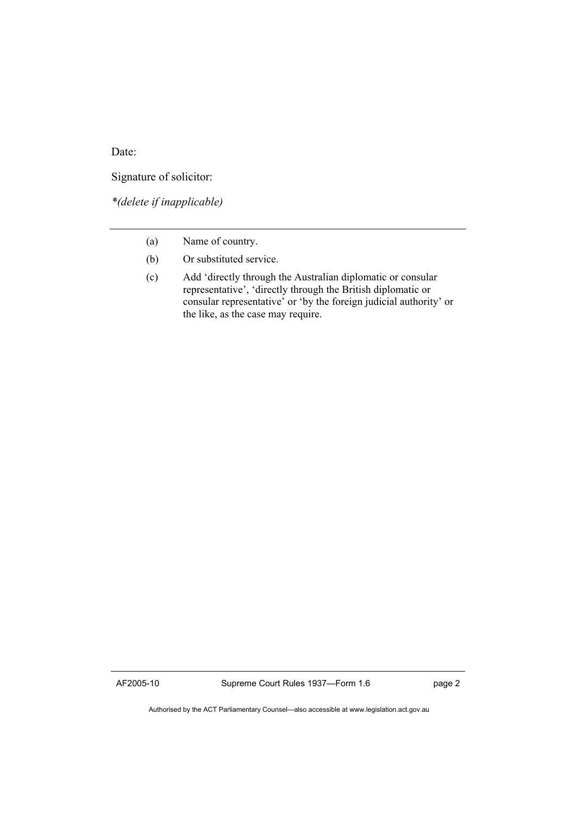Date:

Signature of solicitor:

*\*(delete if inapplicable)* 

- (a) Name of country.
- (b) Or substituted service.
- (c) Add 'directly through the Australian diplomatic or consular representative', 'directly through the British diplomatic or consular representative' or 'by the foreign judicial authority' or the like, as the case may require.

Authorised by the ACT Parliamentary Counsel—also accessible at www.legislation.act.gov.au